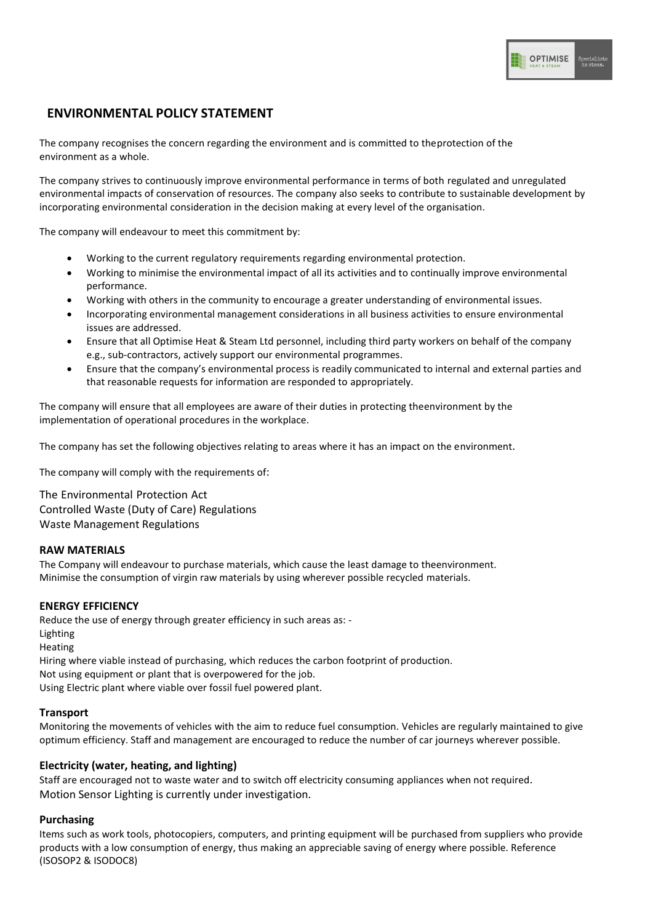# **ENVIRONMENTAL POLICY STATEMENT**

The company recognises the concern regarding the environment and is committed to theprotection of the environment as a whole.

The company strives to continuously improve environmental performance in terms of both regulated and unregulated environmental impacts of conservation of resources. The company also seeks to contribute to sustainable development by incorporating environmental consideration in the decision making at every level of the organisation.

The company will endeavour to meet this commitment by:

- Working to the current regulatory requirements regarding environmental protection.
- Working to minimise the environmental impact of all its activities and to continually improve environmental performance.
- Working with others in the community to encourage a greater understanding of environmental issues.
- Incorporating environmental management considerations in all business activities to ensure environmental issues are addressed.
- Ensure that all Optimise Heat & Steam Ltd personnel, including third party workers on behalf of the company e.g., sub-contractors, actively support our environmental programmes.
- Ensure that the company's environmental process is readily communicated to internal and external parties and that reasonable requests for information are responded to appropriately.

The company will ensure that all employees are aware of their duties in protecting theenvironment by the implementation of operational procedures in the workplace.

The company has set the following objectives relating to areas where it has an impact on the environment.

The company will comply with the requirements of:

The Environmental Protection Act Controlled Waste (Duty of Care) Regulations Waste Management Regulations

# **RAW MATERIALS**

The Company will endeavour to purchase materials, which cause the least damage to theenvironment. Minimise the consumption of virgin raw materials by using wherever possible recycled materials.

# **ENERGY EFFICIENCY**

Reduce the use of energy through greater efficiency in such areas as: - Lighting Heating Hiring where viable instead of purchasing, which reduces the carbon footprint of production. Not using equipment or plant that is overpowered for the job. Using Electric plant where viable over fossil fuel powered plant.

# **Transport**

Monitoring the movements of vehicles with the aim to reduce fuel consumption. Vehicles are regularly maintained to give optimum efficiency. Staff and management are encouraged to reduce the number of car journeys wherever possible.

# **Electricity (water, heating, and lighting)**

Staff are encouraged not to waste water and to switch off electricity consuming appliances when not required. Motion Sensor Lighting is currently under investigation.

# **Purchasing**

Items such as work tools, photocopiers, computers, and printing equipment will be purchased from suppliers who provide products with a low consumption of energy, thus making an appreciable saving of energy where possible. Reference (ISOSOP2 & ISODOC8)